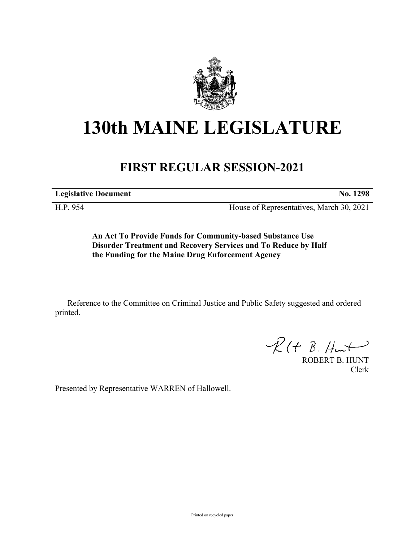

## **130th MAINE LEGISLATURE**

## **FIRST REGULAR SESSION-2021**

**Legislative Document No. 1298**

H.P. 954 House of Representatives, March 30, 2021

**An Act To Provide Funds for Community-based Substance Use Disorder Treatment and Recovery Services and To Reduce by Half the Funding for the Maine Drug Enforcement Agency**

Reference to the Committee on Criminal Justice and Public Safety suggested and ordered printed.

 $R(H B. Hmt)$ 

ROBERT B. HUNT Clerk

Presented by Representative WARREN of Hallowell.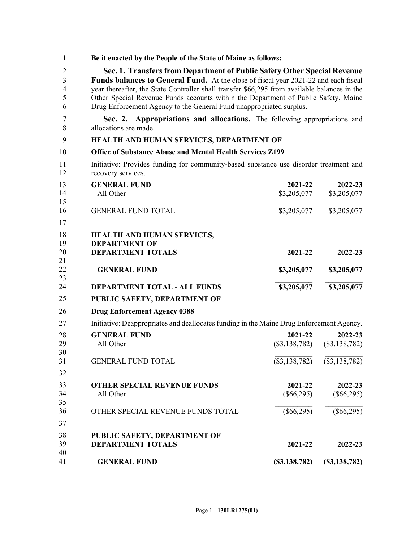| 1                                               | Be it enacted by the People of the State of Maine as follows:                                                                                                                                                                                                                                                                                                                                                                       |                            |                            |  |
|-------------------------------------------------|-------------------------------------------------------------------------------------------------------------------------------------------------------------------------------------------------------------------------------------------------------------------------------------------------------------------------------------------------------------------------------------------------------------------------------------|----------------------------|----------------------------|--|
| $\overline{2}$<br>3<br>$\overline{4}$<br>5<br>6 | Sec. 1. Transfers from Department of Public Safety Other Special Revenue<br><b>Funds balances to General Fund.</b> At the close of fiscal year 2021-22 and each fiscal<br>year thereafter, the State Controller shall transfer \$66,295 from available balances in the<br>Other Special Revenue Funds accounts within the Department of Public Safety, Maine<br>Drug Enforcement Agency to the General Fund unappropriated surplus. |                            |                            |  |
| 7<br>8                                          | Sec. 2. Appropriations and allocations. The following appropriations and<br>allocations are made.                                                                                                                                                                                                                                                                                                                                   |                            |                            |  |
| 9                                               | HEALTH AND HUMAN SERVICES, DEPARTMENT OF                                                                                                                                                                                                                                                                                                                                                                                            |                            |                            |  |
| 10                                              | <b>Office of Substance Abuse and Mental Health Services Z199</b>                                                                                                                                                                                                                                                                                                                                                                    |                            |                            |  |
| 11<br>12                                        | Initiative: Provides funding for community-based substance use disorder treatment and<br>recovery services.                                                                                                                                                                                                                                                                                                                         |                            |                            |  |
| 13<br>14                                        | <b>GENERAL FUND</b><br>All Other                                                                                                                                                                                                                                                                                                                                                                                                    | 2021-22<br>\$3,205,077     | 2022-23<br>\$3,205,077     |  |
| 15<br>16<br>17                                  | <b>GENERAL FUND TOTAL</b>                                                                                                                                                                                                                                                                                                                                                                                                           | \$3,205,077                | \$3,205,077                |  |
| 18<br>19<br>20                                  | HEALTH AND HUMAN SERVICES,<br><b>DEPARTMENT OF</b><br><b>DEPARTMENT TOTALS</b>                                                                                                                                                                                                                                                                                                                                                      | 2021-22                    | 2022-23                    |  |
| 21<br>22<br>23                                  | <b>GENERAL FUND</b>                                                                                                                                                                                                                                                                                                                                                                                                                 | \$3,205,077                | \$3,205,077                |  |
| 24                                              | DEPARTMENT TOTAL - ALL FUNDS                                                                                                                                                                                                                                                                                                                                                                                                        | \$3,205,077                | \$3,205,077                |  |
| 25                                              | PUBLIC SAFETY, DEPARTMENT OF                                                                                                                                                                                                                                                                                                                                                                                                        |                            |                            |  |
| 26                                              | <b>Drug Enforcement Agency 0388</b>                                                                                                                                                                                                                                                                                                                                                                                                 |                            |                            |  |
| 27                                              | Initiative: Deappropriates and deallocates funding in the Maine Drug Enforcement Agency.                                                                                                                                                                                                                                                                                                                                            |                            |                            |  |
| 28<br>29<br>30                                  | <b>GENERAL FUND</b><br>All Other                                                                                                                                                                                                                                                                                                                                                                                                    | 2021-22<br>$(\$3,138,782)$ | 2022-23<br>$(\$3,138,782)$ |  |
| 31<br>32                                        | <b>GENERAL FUND TOTAL</b>                                                                                                                                                                                                                                                                                                                                                                                                           | $(\$3,138,782)$            | $\overline{(\$3,138,782)}$ |  |
| 33<br>34<br>35                                  | <b>OTHER SPECIAL REVENUE FUNDS</b><br>All Other                                                                                                                                                                                                                                                                                                                                                                                     | 2021-22<br>$(\$66,295)$    | 2022-23<br>$(\$66,295)$    |  |
| 36<br>37                                        | OTHER SPECIAL REVENUE FUNDS TOTAL                                                                                                                                                                                                                                                                                                                                                                                                   | $(\$66,295)$               | $(\$66,295)$               |  |
| 38                                              | PUBLIC SAFETY, DEPARTMENT OF                                                                                                                                                                                                                                                                                                                                                                                                        |                            |                            |  |
| 39<br>40                                        | <b>DEPARTMENT TOTALS</b>                                                                                                                                                                                                                                                                                                                                                                                                            | 2021-22                    | 2022-23                    |  |
| 41                                              | <b>GENERAL FUND</b>                                                                                                                                                                                                                                                                                                                                                                                                                 | (S3, 138, 782)             | (S3, 138, 782)             |  |